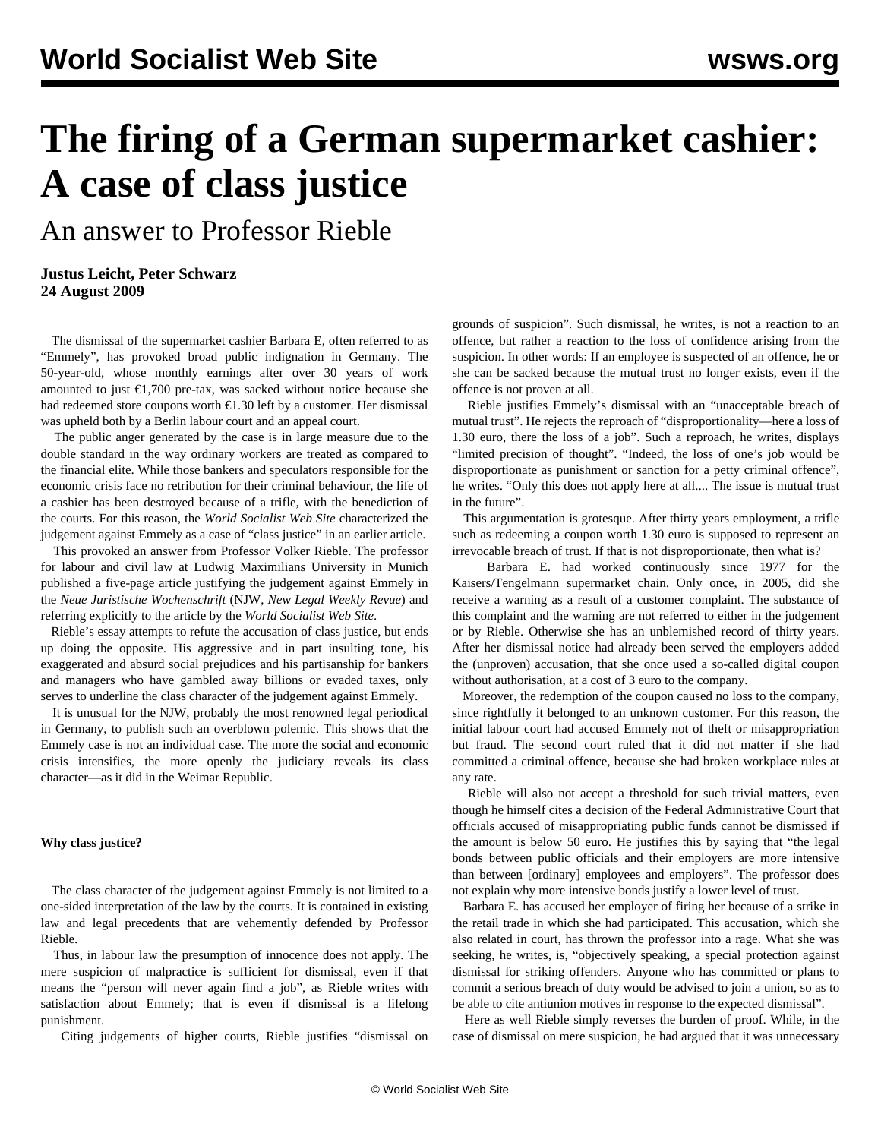# **The firing of a German supermarket cashier: A case of class justice**

An answer to Professor Rieble

### **Justus Leicht, Peter Schwarz 24 August 2009**

 The dismissal of the supermarket cashier Barbara E, often referred to as "Emmely", has provoked broad public indignation in Germany. The 50-year-old, whose monthly earnings after over 30 years of work amounted to just  $\epsilon$ 1,700 pre-tax, was sacked without notice because she had redeemed store coupons worth  $\epsilon$ 1.30 left by a customer. Her dismissal was upheld both by a Berlin labour court and an appeal court.

 The public anger generated by the case is in large measure due to the double standard in the way ordinary workers are treated as compared to the financial elite. While those bankers and speculators responsible for the economic crisis face no retribution for their criminal behaviour, the life of a cashier has been destroyed because of a trifle, with the benediction of the courts. For this reason, the *World Socialist Web Site* characterized the judgement against Emmely as a case of "class justice" in an [earlier article.](/en/articles/2009/mar2009/germ-m21.shtml)

 This provoked an answer from Professor Volker Rieble. The professor for labour and civil law at Ludwig Maximilians University in Munich published a five-page article justifying the judgement against Emmely in the *Neue Juristische Wochenschrift* (NJW, *New Legal Weekly Revue*) and referring explicitly to the article by the *World Socialist Web Site*.

 Rieble's essay attempts to refute the accusation of class justice, but ends up doing the opposite. His aggressive and in part insulting tone, his exaggerated and absurd social prejudices and his partisanship for bankers and managers who have gambled away billions or evaded taxes, only serves to underline the class character of the judgement against Emmely.

 It is unusual for the NJW, probably the most renowned legal periodical in Germany, to publish such an overblown polemic. This shows that the Emmely case is not an individual case. The more the social and economic crisis intensifies, the more openly the judiciary reveals its class character—as it did in the Weimar Republic.

#### **Why class justice?**

 The class character of the judgement against Emmely is not limited to a one-sided interpretation of the law by the courts. It is contained in existing law and legal precedents that are vehemently defended by Professor Rieble.

 Thus, in labour law the presumption of innocence does not apply. The mere suspicion of malpractice is sufficient for dismissal, even if that means the "person will never again find a job", as Rieble writes with satisfaction about Emmely; that is even if dismissal is a lifelong punishment.

Citing judgements of higher courts, Rieble justifies "dismissal on

grounds of suspicion". Such dismissal, he writes, is not a reaction to an offence, but rather a reaction to the loss of confidence arising from the suspicion. In other words: If an employee is suspected of an offence, he or she can be sacked because the mutual trust no longer exists, even if the offence is not proven at all.

 Rieble justifies Emmely's dismissal with an "unacceptable breach of mutual trust". He rejects the reproach of "disproportionality—here a loss of 1.30 euro, there the loss of a job". Such a reproach, he writes, displays "limited precision of thought". "Indeed, the loss of one's job would be disproportionate as punishment or sanction for a petty criminal offence", he writes. "Only this does not apply here at all.... The issue is mutual trust in the future".

 This argumentation is grotesque. After thirty years employment, a trifle such as redeeming a coupon worth 1.30 euro is supposed to represent an irrevocable breach of trust. If that is not disproportionate, then what is?

 Barbara E. had worked continuously since 1977 for the Kaisers/Tengelmann supermarket chain. Only once, in 2005, did she receive a warning as a result of a customer complaint. The substance of this complaint and the warning are not referred to either in the judgement or by Rieble. Otherwise she has an unblemished record of thirty years. After her dismissal notice had already been served the employers added the (unproven) accusation, that she once used a so-called digital coupon without authorisation, at a cost of 3 euro to the company.

 Moreover, the redemption of the coupon caused no loss to the company, since rightfully it belonged to an unknown customer. For this reason, the initial labour court had accused Emmely not of theft or misappropriation but fraud. The second court ruled that it did not matter if she had committed a criminal offence, because she had broken workplace rules at any rate.

 Rieble will also not accept a threshold for such trivial matters, even though he himself cites a decision of the Federal Administrative Court that officials accused of misappropriating public funds cannot be dismissed if the amount is below 50 euro. He justifies this by saying that "the legal bonds between public officials and their employers are more intensive than between [ordinary] employees and employers". The professor does not explain why more intensive bonds justify a lower level of trust.

 Barbara E. has accused her employer of firing her because of a strike in the retail trade in which she had participated. This accusation, which she also related in court, has thrown the professor into a rage. What she was seeking, he writes, is, "objectively speaking, a special protection against dismissal for striking offenders. Anyone who has committed or plans to commit a serious breach of duty would be advised to join a union, so as to be able to cite antiunion motives in response to the expected dismissal".

 Here as well Rieble simply reverses the burden of proof. While, in the case of dismissal on mere suspicion, he had argued that it was unnecessary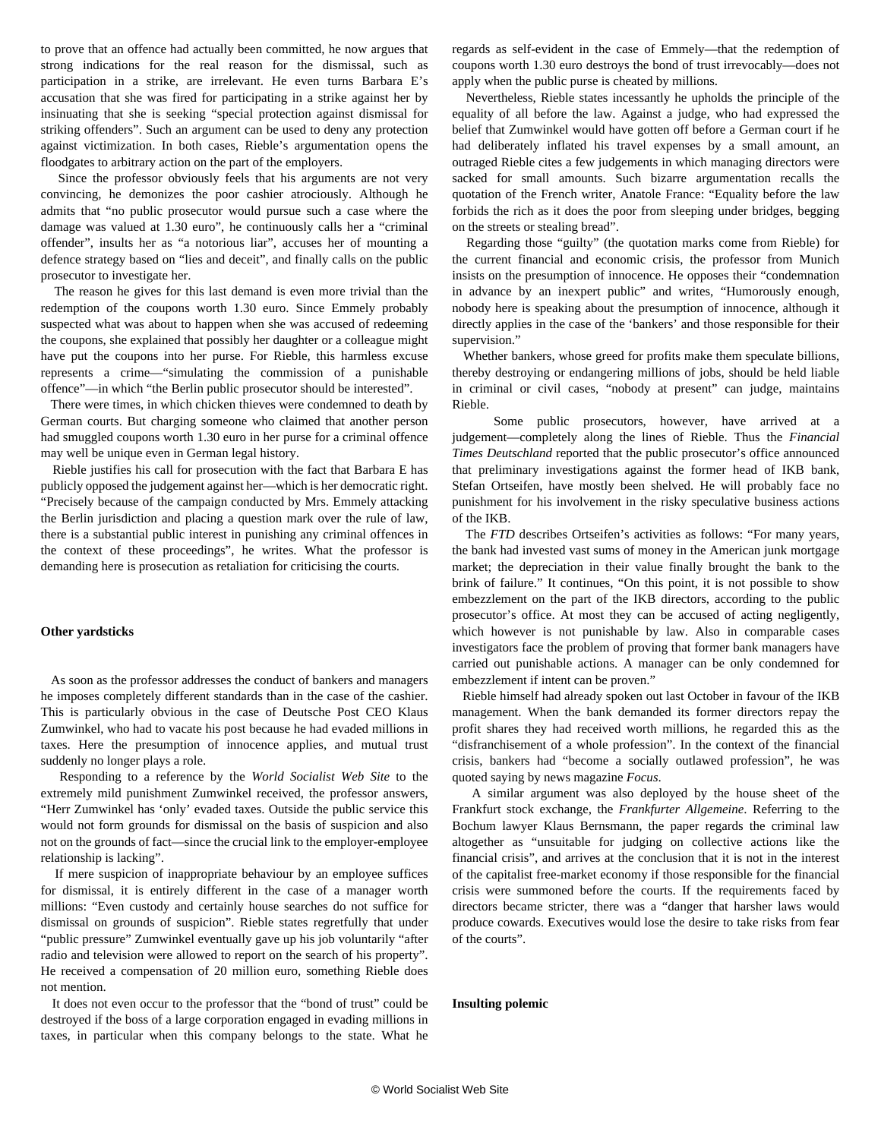to prove that an offence had actually been committed, he now argues that strong indications for the real reason for the dismissal, such as participation in a strike, are irrelevant. He even turns Barbara E's accusation that she was fired for participating in a strike against her by insinuating that she is seeking "special protection against dismissal for striking offenders". Such an argument can be used to deny any protection against victimization. In both cases, Rieble's argumentation opens the floodgates to arbitrary action on the part of the employers.

 Since the professor obviously feels that his arguments are not very convincing, he demonizes the poor cashier atrociously. Although he admits that "no public prosecutor would pursue such a case where the damage was valued at 1.30 euro", he continuously calls her a "criminal offender", insults her as "a notorious liar", accuses her of mounting a defence strategy based on "lies and deceit", and finally calls on the public prosecutor to investigate her.

 The reason he gives for this last demand is even more trivial than the redemption of the coupons worth 1.30 euro. Since Emmely probably suspected what was about to happen when she was accused of redeeming the coupons, she explained that possibly her daughter or a colleague might have put the coupons into her purse. For Rieble, this harmless excuse represents a crime—"simulating the commission of a punishable offence"—in which "the Berlin public prosecutor should be interested".

 There were times, in which chicken thieves were condemned to death by German courts. But charging someone who claimed that another person had smuggled coupons worth 1.30 euro in her purse for a criminal offence may well be unique even in German legal history.

 Rieble justifies his call for prosecution with the fact that Barbara E has publicly opposed the judgement against her—which is her democratic right. "Precisely because of the campaign conducted by Mrs. Emmely attacking the Berlin jurisdiction and placing a question mark over the rule of law, there is a substantial public interest in punishing any criminal offences in the context of these proceedings", he writes. What the professor is demanding here is prosecution as retaliation for criticising the courts.

#### **Other yardsticks**

 As soon as the professor addresses the conduct of bankers and managers he imposes completely different standards than in the case of the cashier. This is particularly obvious in the case of Deutsche Post CEO Klaus Zumwinkel, who had to vacate his post because he had evaded millions in taxes. Here the presumption of innocence applies, and mutual trust suddenly no longer plays a role.

 Responding to a reference by the *World Socialist Web Site* to the extremely mild punishment Zumwinkel received, the professor answers, "Herr Zumwinkel has 'only' evaded taxes. Outside the public service this would not form grounds for dismissal on the basis of suspicion and also not on the grounds of fact—since the crucial link to the employer-employee relationship is lacking".

 If mere suspicion of inappropriate behaviour by an employee suffices for dismissal, it is entirely different in the case of a manager worth millions: "Even custody and certainly house searches do not suffice for dismissal on grounds of suspicion". Rieble states regretfully that under "public pressure" Zumwinkel eventually gave up his job voluntarily "after radio and television were allowed to report on the search of his property". He received a compensation of 20 million euro, something Rieble does not mention.

 It does not even occur to the professor that the "bond of trust" could be destroyed if the boss of a large corporation engaged in evading millions in taxes, in particular when this company belongs to the state. What he regards as self-evident in the case of Emmely—that the redemption of coupons worth 1.30 euro destroys the bond of trust irrevocably—does not apply when the public purse is cheated by millions.

 Nevertheless, Rieble states incessantly he upholds the principle of the equality of all before the law. Against a judge, who had expressed the belief that Zumwinkel would have gotten off before a German court if he had deliberately inflated his travel expenses by a small amount, an outraged Rieble cites a few judgements in which managing directors were sacked for small amounts. Such bizarre argumentation recalls the quotation of the French writer, Anatole France: "Equality before the law forbids the rich as it does the poor from sleeping under bridges, begging on the streets or stealing bread".

 Regarding those "guilty" (the quotation marks come from Rieble) for the current financial and economic crisis, the professor from Munich insists on the presumption of innocence. He opposes their "condemnation in advance by an inexpert public" and writes, "Humorously enough, nobody here is speaking about the presumption of innocence, although it directly applies in the case of the 'bankers' and those responsible for their supervision."

 Whether bankers, whose greed for profits make them speculate billions, thereby destroying or endangering millions of jobs, should be held liable in criminal or civil cases, "nobody at present" can judge, maintains Rieble.

 Some public prosecutors, however, have arrived at a judgement—completely along the lines of Rieble. Thus the *Financial Times Deutschland* reported that the public prosecutor's office announced that preliminary investigations against the former head of IKB bank, Stefan Ortseifen, have mostly been shelved. He will probably face no punishment for his involvement in the risky speculative business actions of the IKB.

 The *FTD* describes Ortseifen's activities as follows: "For many years, the bank had invested vast sums of money in the American junk mortgage market; the depreciation in their value finally brought the bank to the brink of failure." It continues, "On this point, it is not possible to show embezzlement on the part of the IKB directors, according to the public prosecutor's office. At most they can be accused of acting negligently, which however is not punishable by law. Also in comparable cases investigators face the problem of proving that former bank managers have carried out punishable actions. A manager can be only condemned for embezzlement if intent can be proven."

 Rieble himself had already spoken out last October in favour of the IKB management. When the bank demanded its former directors repay the profit shares they had received worth millions, he regarded this as the "disfranchisement of a whole profession". In the context of the financial crisis, bankers had "become a socially outlawed profession", he was quoted saying by news magazine *Focus*.

 A similar argument was also deployed by the house sheet of the Frankfurt stock exchange, the *Frankfurter Allgemeine*. Referring to the Bochum lawyer Klaus Bernsmann, the paper regards the criminal law altogether as "unsuitable for judging on collective actions like the financial crisis", and arrives at the conclusion that it is not in the interest of the capitalist free-market economy if those responsible for the financial crisis were summoned before the courts. If the requirements faced by directors became stricter, there was a "danger that harsher laws would produce cowards. Executives would lose the desire to take risks from fear of the courts".

#### **Insulting polemic**